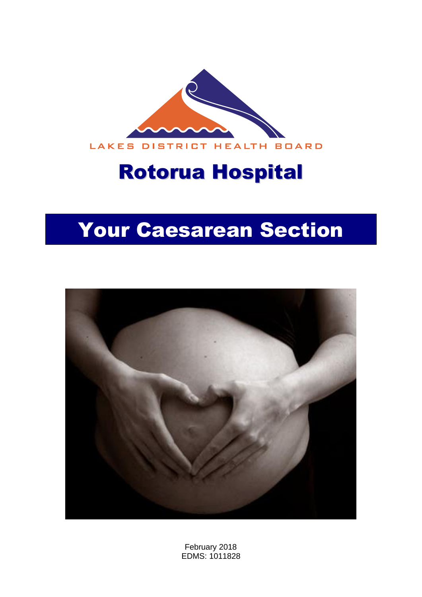

# Rotorua Hospital

# Your Caesarean Section



February 2018 EDMS: 1011828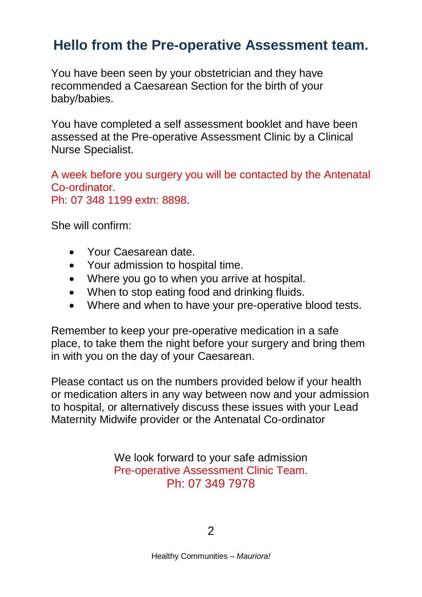# **Hello from the Pre-operative Assessment team.**

You have been seen by your obstetrician and they have recommended a Caesarean Section for the birth of your baby/babies.

You have completed a self assessment booklet and have been assessed at the Pre-operative Assessment Clinic by a Clinical Nurse Specialist.

A week before you surgery you will be contacted by the Antenatal Co-ordinator. Ph: 07 348 1199 extn: 8898.

She will confirm:

- Your Caesarean date.
- Your admission to hospital time.
- Where you go to when you arrive at hospital.
- When to stop eating food and drinking fluids.
- Where and when to have your pre-operative blood tests.

Remember to keep your pre-operative medication in a safe place, to take them the night before your surgery and bring them in with you on the day of your Caesarean.

Please contact us on the numbers provided below if your health or medication alters in any way between now and your admission to hospital, or alternatively discuss these issues with your Lead Maternity Midwife provider or the Antenatal Co-ordinator

> We look forward to your safe admission Pre-operative Assessment Clinic Team. Ph: 07 349 7978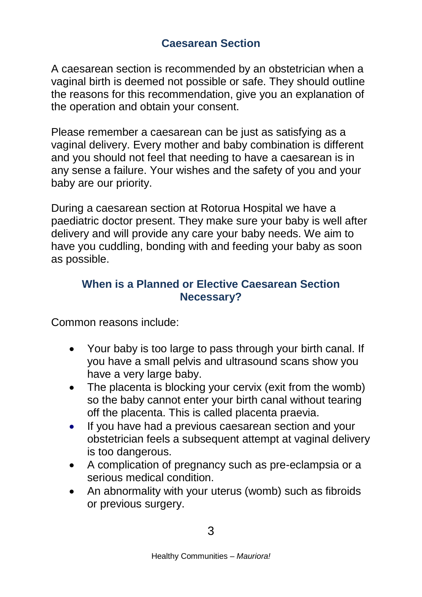A caesarean section is recommended by an obstetrician when a vaginal birth is deemed not possible or safe. They should outline the reasons for this recommendation, give you an explanation of the operation and obtain your consent.

Please remember a caesarean can be just as satisfying as a vaginal delivery. Every mother and baby combination is different and you should not feel that needing to have a caesarean is in any sense a failure. Your wishes and the safety of you and your baby are our priority.

During a caesarean section at Rotorua Hospital we have a paediatric doctor present. They make sure your baby is well after delivery and will provide any care your baby needs. We aim to have you cuddling, bonding with and feeding your baby as soon as possible.

# **When is a Planned or Elective Caesarean Section Necessary?**

Common reasons include:

- Your baby is too large to pass through your birth canal. If you have a small pelvis and ultrasound scans show you have a very large baby.
- The placenta is blocking your cervix (exit from the womb) so the baby cannot enter your birth canal without tearing off the placenta. This is called placenta praevia.
- If you have had a previous caesarean section and your obstetrician feels a subsequent attempt at vaginal delivery is too dangerous.
- A complication of pregnancy such as pre-eclampsia or a serious medical condition.
- An abnormality with your uterus (womb) such as fibroids or previous surgery.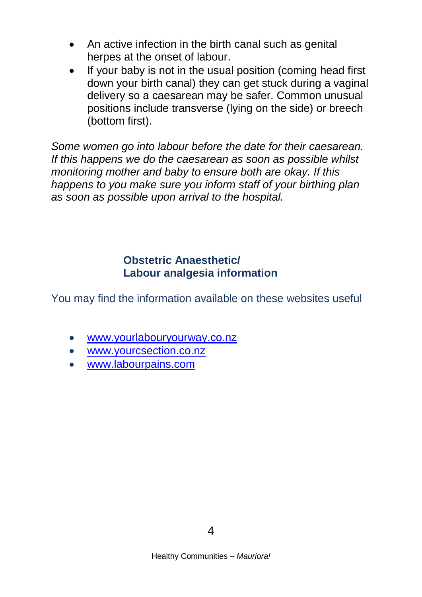- An active infection in the birth canal such as genital herpes at the onset of labour.
- If your baby is not in the usual position (coming head first down your birth canal) they can get stuck during a vaginal delivery so a caesarean may be safer. Common unusual positions include transverse (lying on the side) or breech (bottom first).

*Some women go into labour before the date for their caesarean. If this happens we do the caesarean as soon as possible whilst monitoring mother and baby to ensure both are okay. If this happens to you make sure you inform staff of your birthing plan as soon as possible upon arrival to the hospital.*

# **Obstetric Anaesthetic/ Labour analgesia information**

You may find the information available on these websites useful

- [www.yourlabouryourway.co.nz](http://www.yourlabouryourway.co.nz/)
- [www.yourcsection.co.nz](http://www.yourcsection.co.nz/)
- [www.labourpains.com](http://www.labourpains.com/)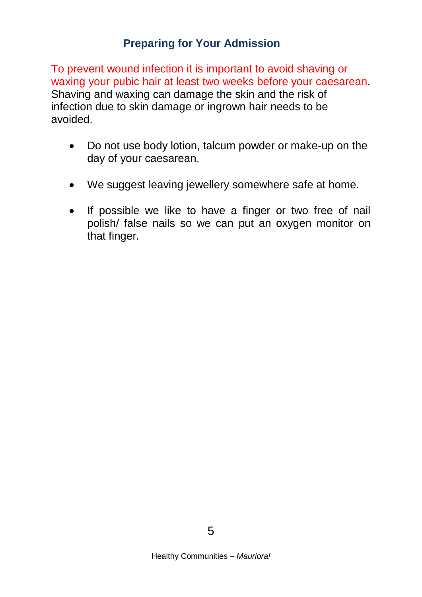# **Preparing for Your Admission**

To prevent wound infection it is important to avoid shaving or waxing your pubic hair at least two weeks before your caesarean. Shaving and waxing can damage the skin and the risk of infection due to skin damage or ingrown hair needs to be avoided.

- Do not use body lotion, talcum powder or make-up on the day of your caesarean.
- We suggest leaving jewellery somewhere safe at home.
- If possible we like to have a finger or two free of nail polish/ false nails so we can put an oxygen monitor on that finger.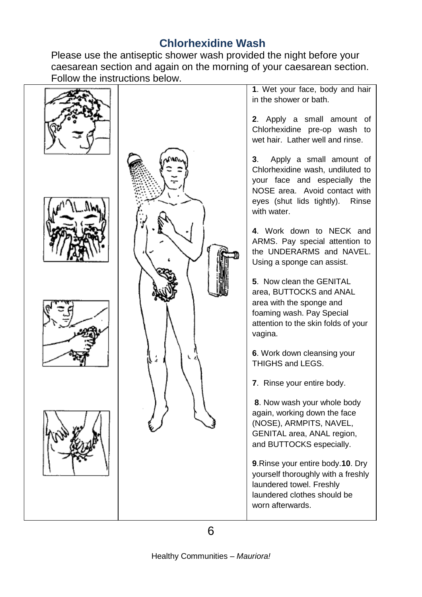# **Chlorhexidine Wash**

Please use the antiseptic shower wash provided the night before your caesarean section and again on the morning of your caesarean section. Follow the instructions below.

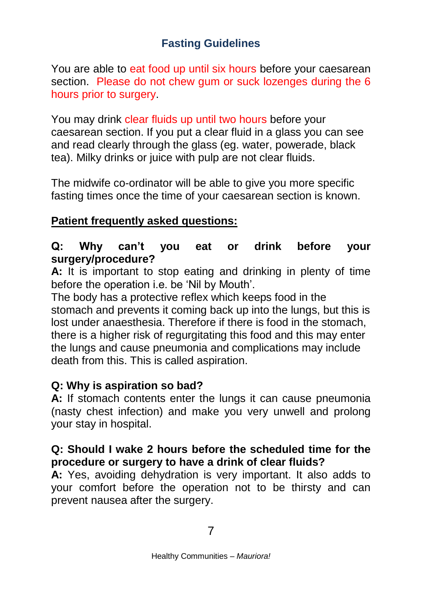# **Fasting Guidelines**

You are able to eat food up until six hours before your caesarean section. Please do not chew gum or suck lozenges during the 6 hours prior to surgery.

You may drink clear fluids up until two hours before your caesarean section. If you put a clear fluid in a glass you can see and read clearly through the glass (eg. water, powerade, black tea). Milky drinks or juice with pulp are not clear fluids.

The midwife co-ordinator will be able to give you more specific fasting times once the time of your caesarean section is known.

# **Patient frequently asked questions:**

# **Q: Why can't you eat or drink before your surgery/procedure?**

**A:** It is important to stop eating and drinking in plenty of time before the operation i.e. be 'Nil by Mouth'.

The body has a protective reflex which keeps food in the stomach and prevents it coming back up into the lungs, but this is lost under anaesthesia. Therefore if there is food in the stomach, there is a higher risk of regurgitating this food and this may enter the lungs and cause pneumonia and complications may include death from this. This is called aspiration.

## **Q: Why is aspiration so bad?**

**A:** If stomach contents enter the lungs it can cause pneumonia (nasty chest infection) and make you very unwell and prolong your stay in hospital.

# **Q: Should I wake 2 hours before the scheduled time for the procedure or surgery to have a drink of clear fluids?**

**A:** Yes, avoiding dehydration is very important. It also adds to your comfort before the operation not to be thirsty and can prevent nausea after the surgery.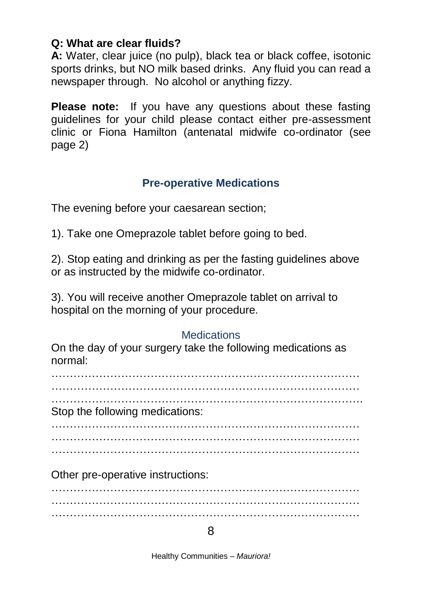### **Q: What are clear fluids?**

**A:** Water, clear juice (no pulp), black tea or black coffee, isotonic sports drinks, but NO milk based drinks. Any fluid you can read a newspaper through. No alcohol or anything fizzy.

**Please note:** If you have any questions about these fasting guidelines for your child please contact either pre-assessment clinic or Fiona Hamilton (antenatal midwife co-ordinator (see page 2)

# **Pre-operative Medications**

The evening before your caesarean section;

1). Take one Omeprazole tablet before going to bed.

2). Stop eating and drinking as per the fasting guidelines above or as instructed by the midwife co-ordinator.

3). You will receive another Omeprazole tablet on arrival to hospital on the morning of your procedure.

## **Medications**

On the day of your surgery take the following medications as normal:

………………………………………………………………………… …………………………………………………………………………

 $\mathcal{L}^{\text{max}}$ Stop the following medications:

………………………………………………………………………… ………………………………………………………………………… …………………………………………………………………………

Other pre-operative instructions:

………………………………………………………………………… ………………………………………………………………………… …………………………………………………………………………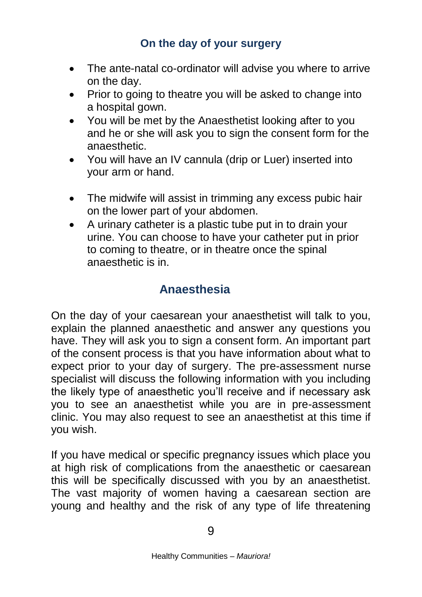# **On the day of your surgery**

- The ante-natal co-ordinator will advise you where to arrive on the day.
- Prior to going to theatre you will be asked to change into a hospital gown.
- You will be met by the Anaesthetist looking after to you and he or she will ask you to sign the consent form for the anaesthetic.
- You will have an IV cannula (drip or Luer) inserted into your arm or hand.
- The midwife will assist in trimming any excess pubic hair on the lower part of your abdomen.
- A urinary catheter is a plastic tube put in to drain your urine. You can choose to have your catheter put in prior to coming to theatre, or in theatre once the spinal anaesthetic is in.

# **Anaesthesia**

On the day of your caesarean your anaesthetist will talk to you, explain the planned anaesthetic and answer any questions you have. They will ask you to sign a consent form. An important part of the consent process is that you have information about what to expect prior to your day of surgery. The pre-assessment nurse specialist will discuss the following information with you including the likely type of anaesthetic you'll receive and if necessary ask you to see an anaesthetist while you are in pre-assessment clinic. You may also request to see an anaesthetist at this time if you wish.

If you have medical or specific pregnancy issues which place you at high risk of complications from the anaesthetic or caesarean this will be specifically discussed with you by an anaesthetist. The vast majority of women having a caesarean section are young and healthy and the risk of any type of life threatening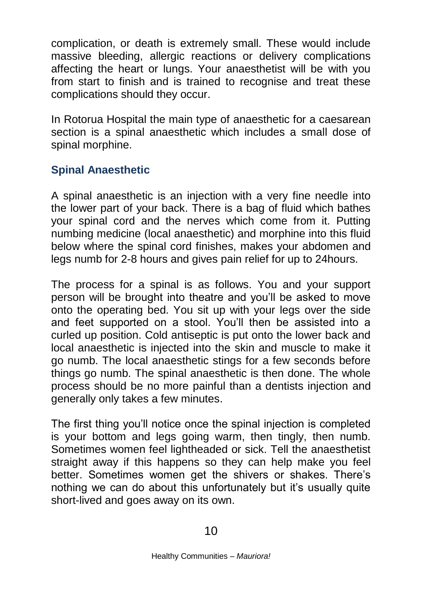complication, or death is extremely small. These would include massive bleeding, allergic reactions or delivery complications affecting the heart or lungs. Your anaesthetist will be with you from start to finish and is trained to recognise and treat these complications should they occur.

In Rotorua Hospital the main type of anaesthetic for a caesarean section is a spinal anaesthetic which includes a small dose of spinal morphine.

# **Spinal Anaesthetic**

A spinal anaesthetic is an injection with a very fine needle into the lower part of your back. There is a bag of fluid which bathes your spinal cord and the nerves which come from it. Putting numbing medicine (local anaesthetic) and morphine into this fluid below where the spinal cord finishes, makes your abdomen and legs numb for 2-8 hours and gives pain relief for up to 24hours.

The process for a spinal is as follows. You and your support person will be brought into theatre and you'll be asked to move onto the operating bed. You sit up with your legs over the side and feet supported on a stool. You'll then be assisted into a curled up position. Cold antiseptic is put onto the lower back and local anaesthetic is injected into the skin and muscle to make it go numb. The local anaesthetic stings for a few seconds before things go numb. The spinal anaesthetic is then done. The whole process should be no more painful than a dentists injection and generally only takes a few minutes.

The first thing you'll notice once the spinal injection is completed is your bottom and legs going warm, then tingly, then numb. Sometimes women feel lightheaded or sick. Tell the anaesthetist straight away if this happens so they can help make you feel better. Sometimes women get the shivers or shakes. There's nothing we can do about this unfortunately but it's usually quite short-lived and goes away on its own.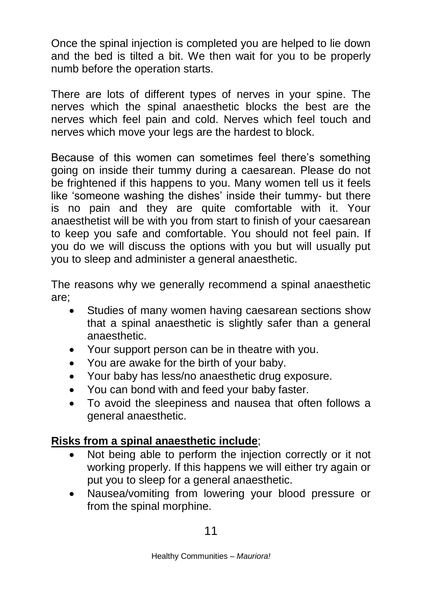Once the spinal injection is completed you are helped to lie down and the bed is tilted a bit. We then wait for you to be properly numb before the operation starts.

There are lots of different types of nerves in your spine. The nerves which the spinal anaesthetic blocks the best are the nerves which feel pain and cold. Nerves which feel touch and nerves which move your legs are the hardest to block.

Because of this women can sometimes feel there's something going on inside their tummy during a caesarean. Please do not be frightened if this happens to you. Many women tell us it feels like 'someone washing the dishes' inside their tummy- but there is no pain and they are quite comfortable with it. Your anaesthetist will be with you from start to finish of your caesarean to keep you safe and comfortable. You should not feel pain. If you do we will discuss the options with you but will usually put you to sleep and administer a general anaesthetic.

The reasons why we generally recommend a spinal anaesthetic are;

- Studies of many women having caesarean sections show that a spinal anaesthetic is slightly safer than a general anaesthetic.
- Your support person can be in theatre with you.
- You are awake for the birth of your baby.
- Your baby has less/no anaesthetic drug exposure.
- You can bond with and feed your baby faster.
- To avoid the sleepiness and nausea that often follows a general anaesthetic.

# **Risks from a spinal anaesthetic include**;

- Not being able to perform the injection correctly or it not working properly. If this happens we will either try again or put you to sleep for a general anaesthetic.
- Nausea/vomiting from lowering your blood pressure or from the spinal morphine.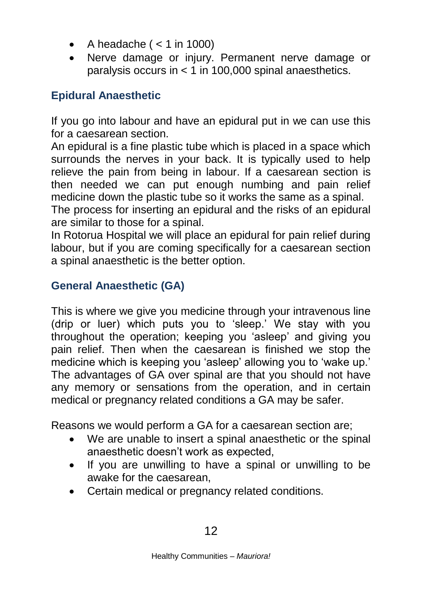- A headache ( $<$  1 in 1000)
- Nerve damage or injury. Permanent nerve damage or paralysis occurs in < 1 in 100,000 spinal anaesthetics.

# **Epidural Anaesthetic**

If you go into labour and have an epidural put in we can use this for a caesarean section.

An epidural is a fine plastic tube which is placed in a space which surrounds the nerves in your back. It is typically used to help relieve the pain from being in labour. If a caesarean section is then needed we can put enough numbing and pain relief medicine down the plastic tube so it works the same as a spinal.

The process for inserting an epidural and the risks of an epidural are similar to those for a spinal.

In Rotorua Hospital we will place an epidural for pain relief during labour, but if you are coming specifically for a caesarean section a spinal anaesthetic is the better option.

# **General Anaesthetic (GA)**

This is where we give you medicine through your intravenous line (drip or luer) which puts you to 'sleep.' We stay with you throughout the operation; keeping you 'asleep' and giving you pain relief. Then when the caesarean is finished we stop the medicine which is keeping you 'asleep' allowing you to 'wake up.' The advantages of GA over spinal are that you should not have any memory or sensations from the operation, and in certain medical or pregnancy related conditions a GA may be safer.

Reasons we would perform a GA for a caesarean section are;

- We are unable to insert a spinal anaesthetic or the spinal anaesthetic doesn't work as expected,
- If you are unwilling to have a spinal or unwilling to be awake for the caesarean,
- Certain medical or pregnancy related conditions.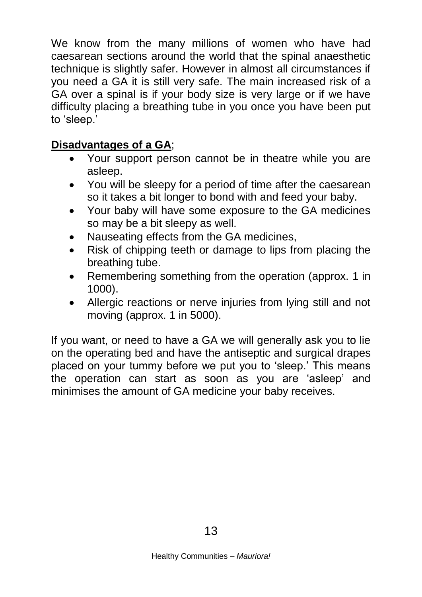We know from the many millions of women who have had caesarean sections around the world that the spinal anaesthetic technique is slightly safer. However in almost all circumstances if you need a GA it is still very safe. The main increased risk of a GA over a spinal is if your body size is very large or if we have difficulty placing a breathing tube in you once you have been put to 'sleep.'

# **Disadvantages of a GA**;

- Your support person cannot be in theatre while you are asleep.
- You will be sleepy for a period of time after the caesarean so it takes a bit longer to bond with and feed your baby.
- Your baby will have some exposure to the GA medicines so may be a bit sleepy as well.
- Nauseating effects from the GA medicines,
- Risk of chipping teeth or damage to lips from placing the breathing tube.
- Remembering something from the operation (approx. 1 in 1000).
- Allergic reactions or nerve injuries from lying still and not moving (approx. 1 in 5000).

If you want, or need to have a GA we will generally ask you to lie on the operating bed and have the antiseptic and surgical drapes placed on your tummy before we put you to 'sleep.' This means the operation can start as soon as you are 'asleep' and minimises the amount of GA medicine your baby receives.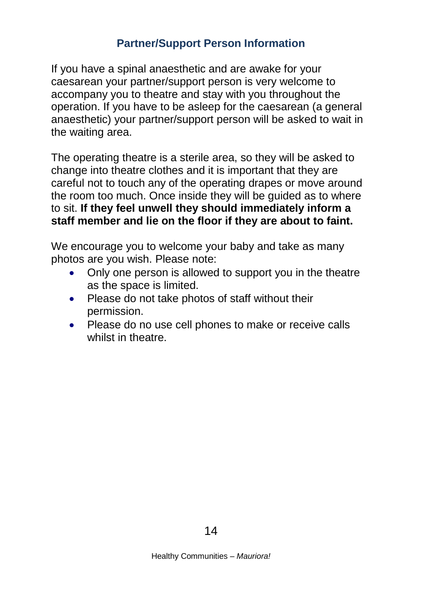# **Partner/Support Person Information**

If you have a spinal anaesthetic and are awake for your caesarean your partner/support person is very welcome to accompany you to theatre and stay with you throughout the operation. If you have to be asleep for the caesarean (a general anaesthetic) your partner/support person will be asked to wait in the waiting area.

The operating theatre is a sterile area, so they will be asked to change into theatre clothes and it is important that they are careful not to touch any of the operating drapes or move around the room too much. Once inside they will be guided as to where to sit. **If they feel unwell they should immediately inform a staff member and lie on the floor if they are about to faint.**

We encourage you to welcome your baby and take as many photos are you wish. Please note:

- Only one person is allowed to support you in the theatre as the space is limited.
- Please do not take photos of staff without their permission.
- Please do no use cell phones to make or receive calls whilst in theatre.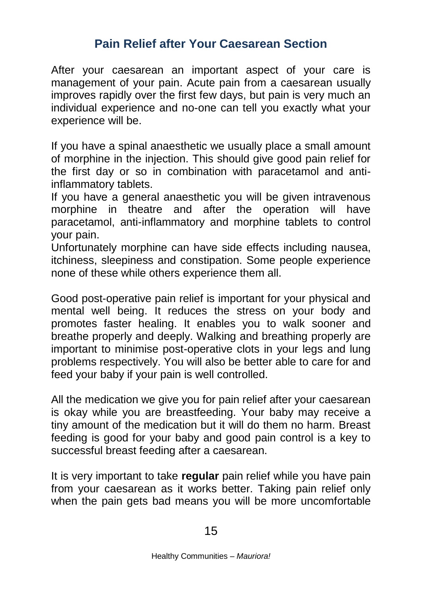# **Pain Relief after Your Caesarean Section**

After your caesarean an important aspect of your care is management of your pain. Acute pain from a caesarean usually improves rapidly over the first few days, but pain is very much an individual experience and no-one can tell you exactly what your experience will be.

If you have a spinal anaesthetic we usually place a small amount of morphine in the injection. This should give good pain relief for the first day or so in combination with paracetamol and antiinflammatory tablets.

If you have a general anaesthetic you will be given intravenous morphine in theatre and after the operation will have paracetamol, anti-inflammatory and morphine tablets to control your pain.

Unfortunately morphine can have side effects including nausea, itchiness, sleepiness and constipation. Some people experience none of these while others experience them all.

Good post-operative pain relief is important for your physical and mental well being. It reduces the stress on your body and promotes faster healing. It enables you to walk sooner and breathe properly and deeply. Walking and breathing properly are important to minimise post-operative clots in your legs and lung problems respectively. You will also be better able to care for and feed your baby if your pain is well controlled.

All the medication we give you for pain relief after your caesarean is okay while you are breastfeeding. Your baby may receive a tiny amount of the medication but it will do them no harm. Breast feeding is good for your baby and good pain control is a key to successful breast feeding after a caesarean.

It is very important to take **regular** pain relief while you have pain from your caesarean as it works better. Taking pain relief only when the pain gets bad means you will be more uncomfortable

15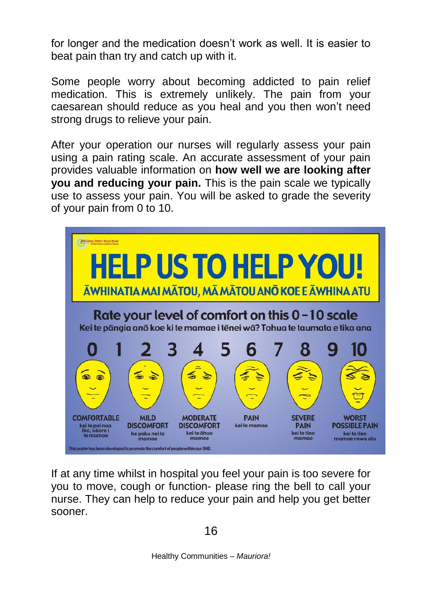for longer and the medication doesn't work as well. It is easier to beat pain than try and catch up with it.

Some people worry about becoming addicted to pain relief medication. This is extremely unlikely. The pain from your caesarean should reduce as you heal and you then won't need strong drugs to relieve your pain.

After your operation our nurses will regularly assess your pain using a pain rating scale. An accurate assessment of your pain provides valuable information on **how well we are looking after you and reducing your pain.** This is the pain scale we typically use to assess your pain. You will be asked to grade the severity of your pain from 0 to 10.



If at any time whilst in hospital you feel your pain is too severe for you to move, cough or function- please ring the bell to call your nurse. They can help to reduce your pain and help you get better sooner.

16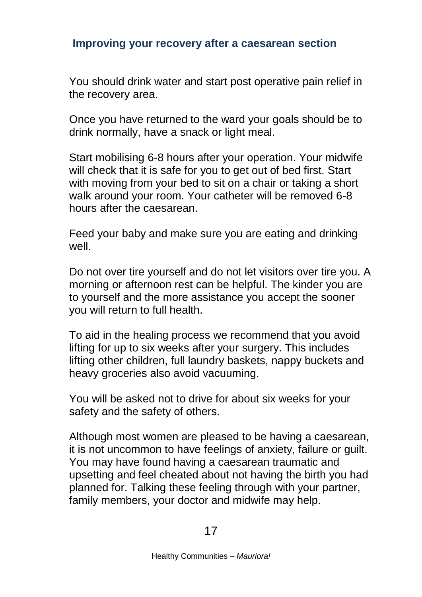## **Improving your recovery after a caesarean section**

You should drink water and start post operative pain relief in the recovery area.

Once you have returned to the ward your goals should be to drink normally, have a snack or light meal.

Start mobilising 6-8 hours after your operation. Your midwife will check that it is safe for you to get out of bed first. Start with moving from your bed to sit on a chair or taking a short walk around your room. Your catheter will be removed 6-8 hours after the caesarean.

Feed your baby and make sure you are eating and drinking well.

Do not over tire yourself and do not let visitors over tire you. A morning or afternoon rest can be helpful. The kinder you are to yourself and the more assistance you accept the sooner you will return to full health.

To aid in the healing process we recommend that you avoid lifting for up to six weeks after your surgery. This includes lifting other children, full laundry baskets, nappy buckets and heavy groceries also avoid vacuuming.

You will be asked not to drive for about six weeks for your safety and the safety of others.

Although most women are pleased to be having a caesarean, it is not uncommon to have feelings of anxiety, failure or guilt. You may have found having a caesarean traumatic and upsetting and feel cheated about not having the birth you had planned for. Talking these feeling through with your partner, family members, your doctor and midwife may help.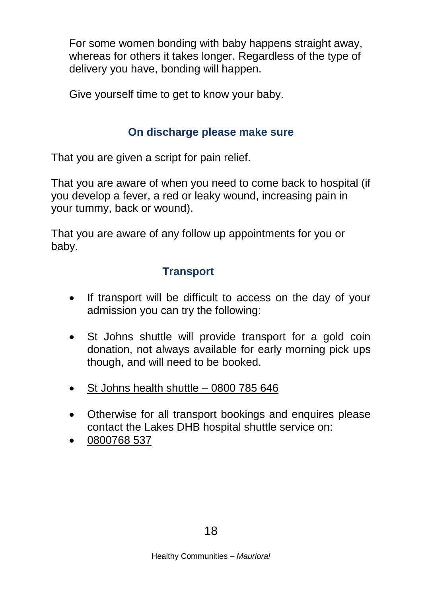For some women bonding with baby happens straight away, whereas for others it takes longer. Regardless of the type of delivery you have, bonding will happen.

Give yourself time to get to know your baby.

# **On discharge please make sure**

That you are given a script for pain relief.

That you are aware of when you need to come back to hospital (if you develop a fever, a red or leaky wound, increasing pain in your tummy, back or wound).

That you are aware of any follow up appointments for you or baby.

# **Transport**

- If transport will be difficult to access on the day of your admission you can try the following:
- St Johns shuttle will provide transport for a gold coin donation, not always available for early morning pick ups though, and will need to be booked.
- St Johns health shuttle 0800 785 646
- Otherwise for all transport bookings and enquires please contact the Lakes DHB hospital shuttle service on:
- 0800768 537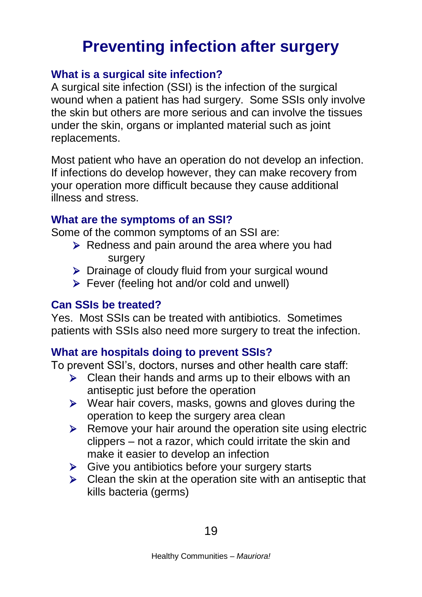# **Preventing infection after surgery**

# **What is a surgical site infection?**

A surgical site infection (SSI) is the infection of the surgical wound when a patient has had surgery. Some SSIs only involve the skin but others are more serious and can involve the tissues under the skin, organs or implanted material such as joint replacements.

Most patient who have an operation do not develop an infection. If infections do develop however, they can make recovery from your operation more difficult because they cause additional illness and stress.

# **What are the symptoms of an SSI?**

Some of the common symptoms of an SSI are:

- $\triangleright$  Redness and pain around the area where you had surgery
- > Drainage of cloudy fluid from your surgical wound
- Fever (feeling hot and/or cold and unwell)

# **Can SSIs be treated?**

Yes. Most SSIs can be treated with antibiotics. Sometimes patients with SSIs also need more surgery to treat the infection.

# **What are hospitals doing to prevent SSIs?**

To prevent SSI's, doctors, nurses and other health care staff:

- $\triangleright$  Clean their hands and arms up to their elbows with an antiseptic just before the operation
- $\triangleright$  Wear hair covers, masks, gowns and gloves during the operation to keep the surgery area clean
- $\triangleright$  Remove your hair around the operation site using electric clippers – not a razor, which could irritate the skin and make it easier to develop an infection
- $\triangleright$  Give you antibiotics before your surgery starts
- $\triangleright$  Clean the skin at the operation site with an antiseptic that kills bacteria (germs)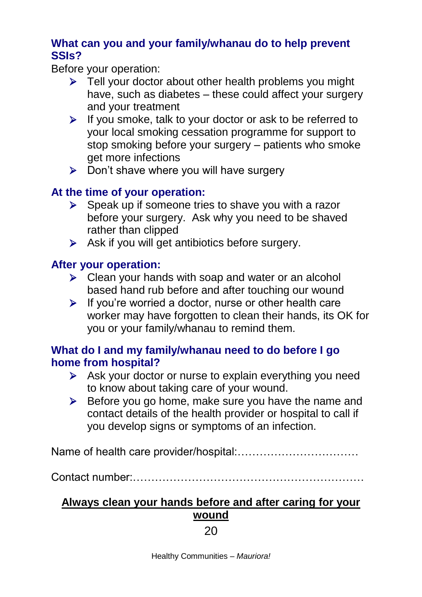## **What can you and your family/whanau do to help prevent SSIs?**

Before your operation:

- $\triangleright$  Tell your doctor about other health problems you might have, such as diabetes – these could affect your surgery and your treatment
- $\triangleright$  If you smoke, talk to your doctor or ask to be referred to your local smoking cessation programme for support to stop smoking before your surgery – patients who smoke get more infections
- $\triangleright$  Don't shave where you will have surgery

# **At the time of your operation:**

- $\triangleright$  Speak up if someone tries to shave you with a razor before your surgery. Ask why you need to be shaved rather than clipped
- $\triangleright$  Ask if you will get antibiotics before surgery.

# **After your operation:**

- $\triangleright$  Clean your hands with soap and water or an alcohol based hand rub before and after touching our wound
- $\triangleright$  If you're worried a doctor, nurse or other health care worker may have forgotten to clean their hands, its OK for you or your family/whanau to remind them.

# **What do I and my family/whanau need to do before I go home from hospital?**

- Ask your doctor or nurse to explain everything you need to know about taking care of your wound.
- $\triangleright$  Before you go home, make sure you have the name and contact details of the health provider or hospital to call if you develop signs or symptoms of an infection.

Name of health care provider/hospital:……………………………

Contact number:………………………………………………………

# **Always clean your hands before and after caring for your wound**

# 20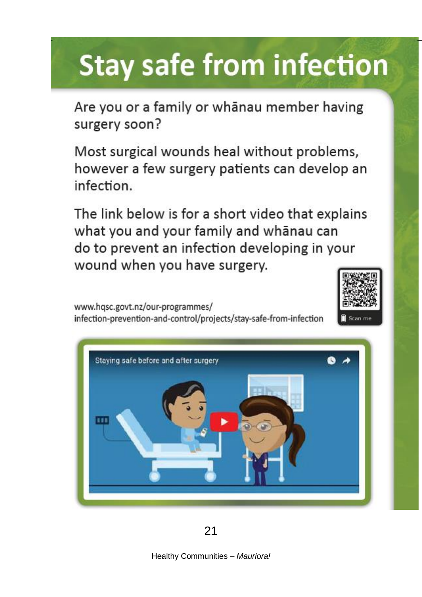# **Stay safe from infection**

Are you or a family or whanau member having surgery soon?

Most surgical wounds heal without problems, however a few surgery patients can develop an infection.

The link below is for a short video that explains what you and your family and whanau can do to prevent an infection developing in your wound when you have surgery.

www.hqsc.govt.nz/our-programmes/ infection-prevention-and-control/projects/stay-safe-from-infection





Healthy Communities – *Mauriora!*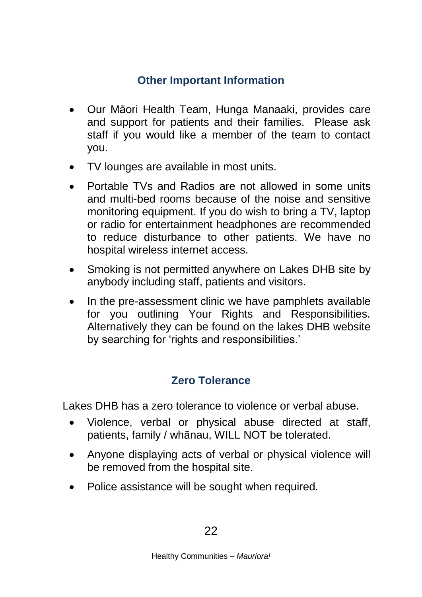# **Other Important Information**

- Our Māori Health Team, Hunga Manaaki, provides care and support for patients and their families. Please ask staff if you would like a member of the team to contact you.
- TV lounges are available in most units.
- Portable TVs and Radios are not allowed in some units and multi-bed rooms because of the noise and sensitive monitoring equipment. If you do wish to bring a TV, laptop or radio for entertainment headphones are recommended to reduce disturbance to other patients. We have no hospital wireless internet access.
- Smoking is not permitted anywhere on Lakes DHB site by anybody including staff, patients and visitors.
- In the pre-assessment clinic we have pamphlets available for you outlining Your Rights and Responsibilities. Alternatively they can be found on the lakes DHB website by searching for 'rights and responsibilities.'

# **Zero Tolerance**

Lakes DHB has a zero tolerance to violence or verbal abuse.

- Violence, verbal or physical abuse directed at staff, patients, family / whānau, WILL NOT be tolerated.
- Anyone displaying acts of verbal or physical violence will be removed from the hospital site.
- Police assistance will be sought when required.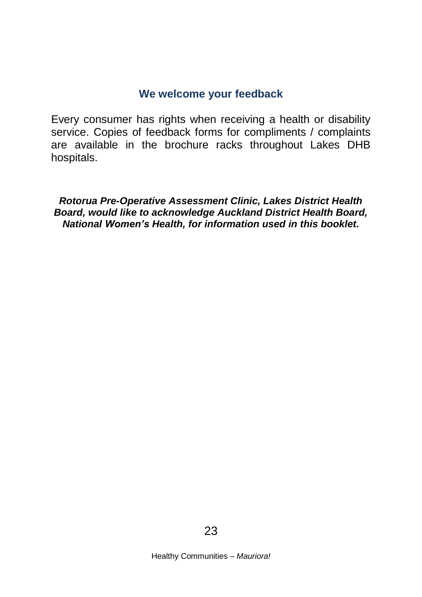#### **We welcome your feedback**

Every consumer has rights when receiving a health or disability service. Copies of feedback forms for compliments / complaints are available in the brochure racks throughout Lakes DHB hospitals.

*Rotorua Pre-Operative Assessment Clinic, Lakes District Health Board, would like to acknowledge Auckland District Health Board, National Women's Health, for information used in this booklet.*